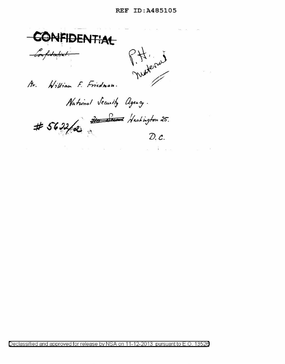## REF ID:A485105



Declassified and approved for release by NSA on 11-12-2013 pursuant to E .0. 1352a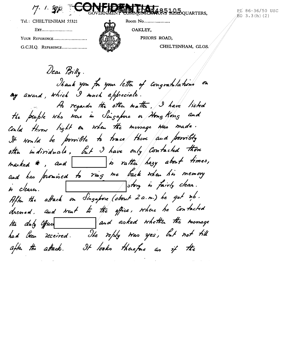17. 1. 50 1 **85 105** QUARTERS,

PE 86-36/50 USC  $EO$  3.3(h)(2)

Tel.: CHELTENHAM 55321

| EXT                |
|--------------------|
| YOUR REFERENCE     |
| G.C.H.Q. REFERENCE |



OAKLEY,

PRIORS ROAD,

CHELTENHAM, GLOS.

Dear Billy. Thank you for your letter of congratulations on my award, which I much appreciate. As regards the other matter, I have listed the people who were in Singapure on Homo Kong and Could throw light on when the missage was made. It would be provible to trace there and possibly other individuals, but I have only contacted those marked  $*$ , and  $\Box$  is rather hasy about times, and has promised to ring me back when his memory After the attack on Singapore (about 2a.m.) he got nb. drened. and trent to the office, where he contacted the duty Office and asked whether the monage had been received. The reply tras yes, but not till after the attack. It looks therefore as if the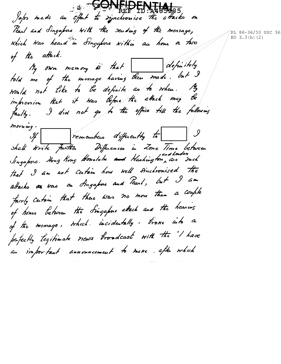**OCARITARY REPORT** Japos made au effort to synchronise the attacks on Pearl and Singapore with the sending of the message, Which Was heard in Singapore within an hour or two of the attack. My own memory is that definitely told me of the menage having then made. but I would not like to be definite as to when. My impression that it was before the attack may be faulty. I did not go to the office till the following morning. If remembers differently to  $\bigcup$ shall Write Further Diffuences in Zone Time between<br>Singapore Hong Kong Houslulu and Hashington, are med that I am not catain how well sinchronised the attacks to trac on Fingapore and Pearl, but I am fairly Certain that there was no more than a couple of hours between the Singapure attack and the hearing of the menage, which incidentally, trove into a pafectly legitimate news troadcast with the "I have au important annonneement to mane. after which

PL 86-36/50 USC 36 EO  $3.3(h)$  (2)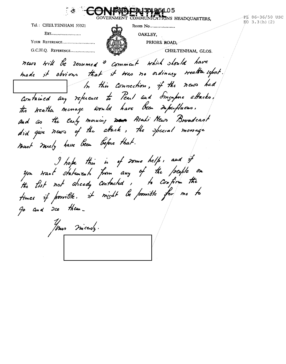HREBED13485105 **EAR** FOVERNMENT COMMUNICATIONS HEADOUARTERS. PL 86-36/50 USC  $EO$  3.3(h)(2) Tel.: CHELTENHAM 55321 Room No................... EXT....................... OAKLEY. YOUR REFERENCE........................ PRIORS ROAD. G.C.H.O. REFERENCE.................. CHELTENHAM, GLOS. news will be resumed & commant which should have made it obvious that it was no ordinary weather report. In this connection, if the news had Contained any refueuce to Pearl and Singapore attacks, the weather memage would have been imperfluous. and ao the Carly morning was Asahi News Broadcast did give news of the attack, the special memore must miety have been before that. I hope this is of some help, and if you want statunents from any of the people on the fist not aheady contacted, to confirm the times if porrible. it might be porrible for me to Go and Ice them-Jour nicedy.